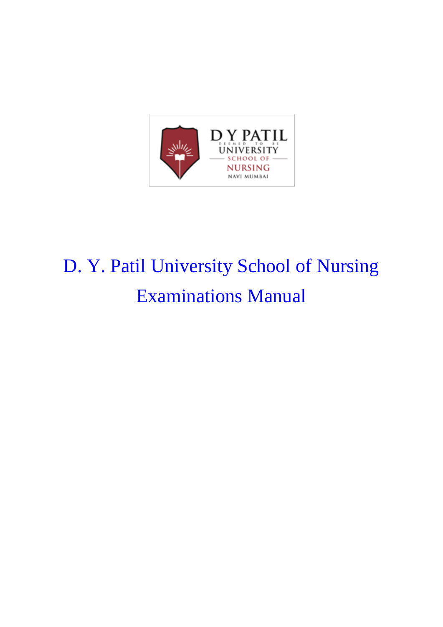

# D. Y. Patil University School of Nursing Examinations Manual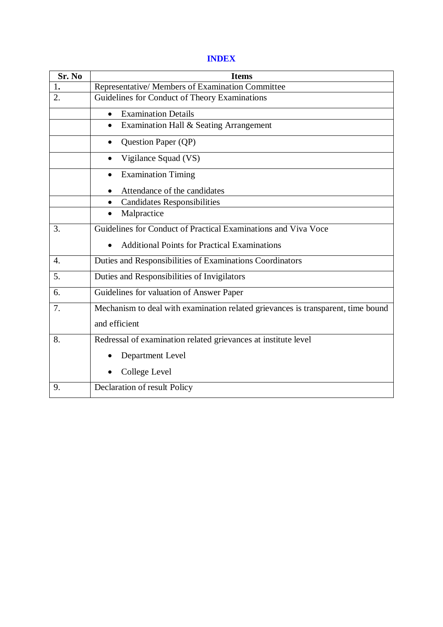#### **INDEX**

| Sr. No           | <b>Items</b>                                                                     |  |  |  |  |
|------------------|----------------------------------------------------------------------------------|--|--|--|--|
| 1.               | Representative/ Members of Examination Committee                                 |  |  |  |  |
| 2.               | Guidelines for Conduct of Theory Examinations                                    |  |  |  |  |
|                  | <b>Examination Details</b><br>$\bullet$                                          |  |  |  |  |
|                  | Examination Hall & Seating Arrangement                                           |  |  |  |  |
|                  | Question Paper (QP)<br>$\bullet$                                                 |  |  |  |  |
|                  | Vigilance Squad (VS)                                                             |  |  |  |  |
|                  | <b>Examination Timing</b>                                                        |  |  |  |  |
|                  | Attendance of the candidates                                                     |  |  |  |  |
|                  | <b>Candidates Responsibilities</b>                                               |  |  |  |  |
|                  | Malpractice                                                                      |  |  |  |  |
| 3.               | Guidelines for Conduct of Practical Examinations and Viva Voce                   |  |  |  |  |
|                  | <b>Additional Points for Practical Examinations</b>                              |  |  |  |  |
| $\overline{4}$ . | Duties and Responsibilities of Examinations Coordinators                         |  |  |  |  |
| 5.               | Duties and Responsibilities of Invigilators                                      |  |  |  |  |
| 6.               | Guidelines for valuation of Answer Paper                                         |  |  |  |  |
| 7.               | Mechanism to deal with examination related grievances is transparent, time bound |  |  |  |  |
|                  | and efficient                                                                    |  |  |  |  |
| 8.               | Redressal of examination related grievances at institute level                   |  |  |  |  |
|                  | Department Level                                                                 |  |  |  |  |
|                  | College Level                                                                    |  |  |  |  |
| 9.               | Declaration of result Policy                                                     |  |  |  |  |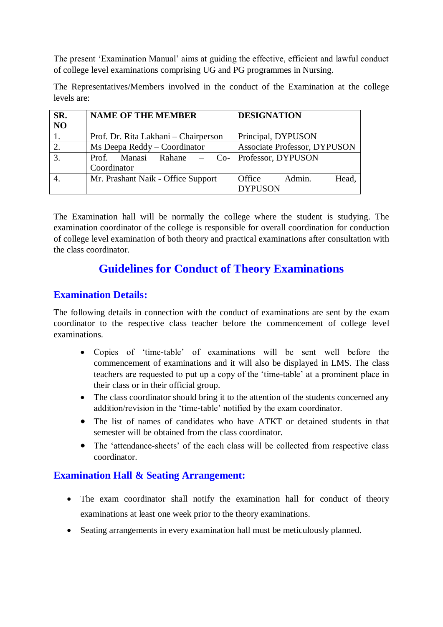The present 'Examination Manual' aims at guiding the effective, efficient and lawful conduct of college level examinations comprising UG and PG programmes in Nursing.

The Representatives/Members involved in the conduct of the Examination at the college levels are:

| SR.<br>N <sub>O</sub> | <b>NAME OF THE MEMBER</b>            | <b>DESIGNATION</b>                  |  |
|-----------------------|--------------------------------------|-------------------------------------|--|
|                       | Prof. Dr. Rita Lakhani – Chairperson | Principal, DYPUSON                  |  |
| 2.                    | Ms Deepa Reddy – Coordinator         | <b>Associate Professor, DYPUSON</b> |  |
| 3.                    | Prof. Manasi Rahane – Co-            | Professor, DYPUSON                  |  |
|                       | Coordinator                          |                                     |  |
|                       | Mr. Prashant Naik - Office Support   | Office<br>Admin.<br>Head,           |  |
|                       |                                      | <b>DYPUSON</b>                      |  |

The Examination hall will be normally the college where the student is studying. The examination coordinator of the college is responsible for overall coordination for conduction of college level examination of both theory and practical examinations after consultation with the class coordinator.

# **Guidelines for Conduct of Theory Examinations**

#### **Examination Details:**

The following details in connection with the conduct of examinations are sent by the exam coordinator to the respective class teacher before the commencement of college level examinations.

- Copies of 'time-table' of examinations will be sent well before the commencement of examinations and it will also be displayed in LMS. The class teachers are requested to put up a copy of the 'time-table' at a prominent place in their class or in their official group.
- The class coordinator should bring it to the attention of the students concerned any addition/revision in the 'time-table' notified by the exam coordinator.
- The list of names of candidates who have ATKT or detained students in that semester will be obtained from the class coordinator.
- The 'attendance-sheets' of the each class will be collected from respective class coordinator.

#### **Examination Hall & Seating Arrangement:**

- The exam coordinator shall notify the examination hall for conduct of theory examinations at least one week prior to the theory examinations.
- Seating arrangements in every examination hall must be meticulously planned.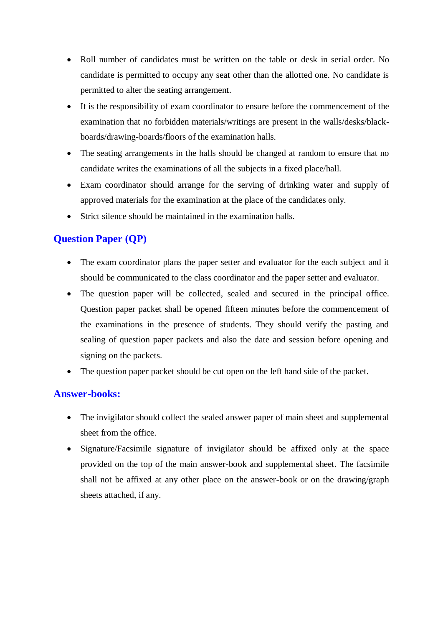- Roll number of candidates must be written on the table or desk in serial order. No candidate is permitted to occupy any seat other than the allotted one. No candidate is permitted to alter the seating arrangement.
- It is the responsibility of exam coordinator to ensure before the commencement of the examination that no forbidden materials/writings are present in the walls/desks/blackboards/drawing-boards/floors of the examination halls.
- The seating arrangements in the halls should be changed at random to ensure that no candidate writes the examinations of all the subjects in a fixed place/hall.
- Exam coordinator should arrange for the serving of drinking water and supply of approved materials for the examination at the place of the candidates only.
- Strict silence should be maintained in the examination halls.

#### **Question Paper (QP)**

- The exam coordinator plans the paper setter and evaluator for the each subject and it should be communicated to the class coordinator and the paper setter and evaluator.
- The question paper will be collected, sealed and secured in the principal office. Question paper packet shall be opened fifteen minutes before the commencement of the examinations in the presence of students. They should verify the pasting and sealing of question paper packets and also the date and session before opening and signing on the packets.
- The question paper packet should be cut open on the left hand side of the packet.

#### **Answer-books:**

- The invigilator should collect the sealed answer paper of main sheet and supplemental sheet from the office.
- Signature/Facsimile signature of invigilator should be affixed only at the space provided on the top of the main answer-book and supplemental sheet. The facsimile shall not be affixed at any other place on the answer-book or on the drawing/graph sheets attached, if any.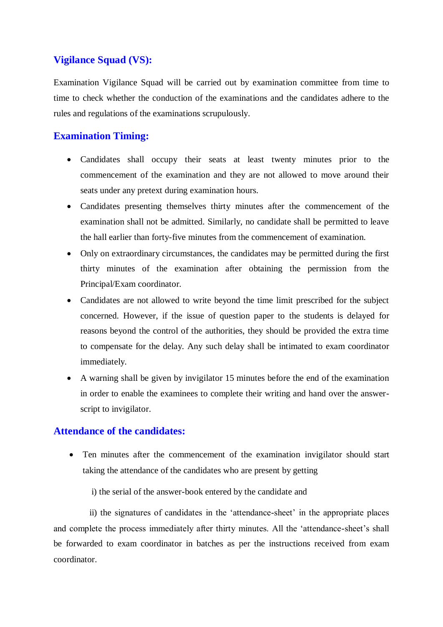#### **Vigilance Squad (VS):**

Examination Vigilance Squad will be carried out by examination committee from time to time to check whether the conduction of the examinations and the candidates adhere to the rules and regulations of the examinations scrupulously.

#### **Examination Timing:**

- Candidates shall occupy their seats at least twenty minutes prior to the commencement of the examination and they are not allowed to move around their seats under any pretext during examination hours.
- Candidates presenting themselves thirty minutes after the commencement of the examination shall not be admitted. Similarly, no candidate shall be permitted to leave the hall earlier than forty-five minutes from the commencement of examination.
- Only on extraordinary circumstances, the candidates may be permitted during the first thirty minutes of the examination after obtaining the permission from the Principal/Exam coordinator.
- Candidates are not allowed to write beyond the time limit prescribed for the subject concerned. However, if the issue of question paper to the students is delayed for reasons beyond the control of the authorities, they should be provided the extra time to compensate for the delay. Any such delay shall be intimated to exam coordinator immediately.
- A warning shall be given by invigilator 15 minutes before the end of the examination in order to enable the examinees to complete their writing and hand over the answerscript to invigilator.

#### **Attendance of the candidates:**

 Ten minutes after the commencement of the examination invigilator should start taking the attendance of the candidates who are present by getting

i) the serial of the answer-book entered by the candidate and

 ii) the signatures of candidates in the 'attendance-sheet' in the appropriate places and complete the process immediately after thirty minutes. All the 'attendance-sheet's shall be forwarded to exam coordinator in batches as per the instructions received from exam coordinator.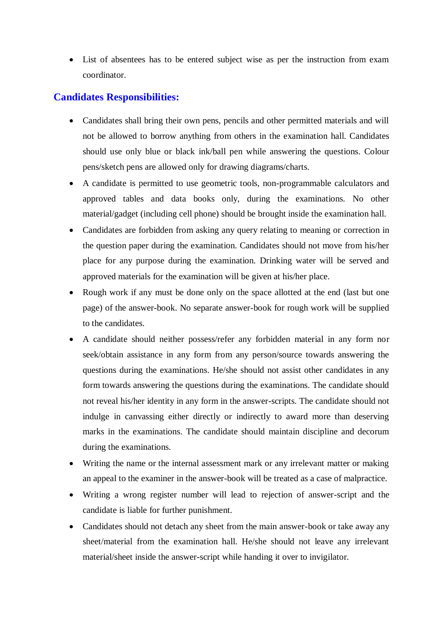List of absentees has to be entered subject wise as per the instruction from exam coordinator.

#### **Candidates Responsibilities:**

- Candidates shall bring their own pens, pencils and other permitted materials and will not be allowed to borrow anything from others in the examination hall. Candidates should use only blue or black ink/ball pen while answering the questions. Colour pens/sketch pens are allowed only for drawing diagrams/charts.
- A candidate is permitted to use geometric tools, non-programmable calculators and approved tables and data books only, during the examinations. No other material/gadget (including cell phone) should be brought inside the examination hall.
- Candidates are forbidden from asking any query relating to meaning or correction in the question paper during the examination. Candidates should not move from his/her place for any purpose during the examination. Drinking water will be served and approved materials for the examination will be given at his/her place.
- Rough work if any must be done only on the space allotted at the end (last but one page) of the answer-book. No separate answer-book for rough work will be supplied to the candidates.
- A candidate should neither possess/refer any forbidden material in any form nor seek/obtain assistance in any form from any person/source towards answering the questions during the examinations. He/she should not assist other candidates in any form towards answering the questions during the examinations. The candidate should not reveal his/her identity in any form in the answer-scripts. The candidate should not indulge in canvassing either directly or indirectly to award more than deserving marks in the examinations. The candidate should maintain discipline and decorum during the examinations.
- Writing the name or the internal assessment mark or any irrelevant matter or making an appeal to the examiner in the answer-book will be treated as a case of malpractice.
- Writing a wrong register number will lead to rejection of answer-script and the candidate is liable for further punishment.
- Candidates should not detach any sheet from the main answer-book or take away any sheet/material from the examination hall. He/she should not leave any irrelevant material/sheet inside the answer-script while handing it over to invigilator.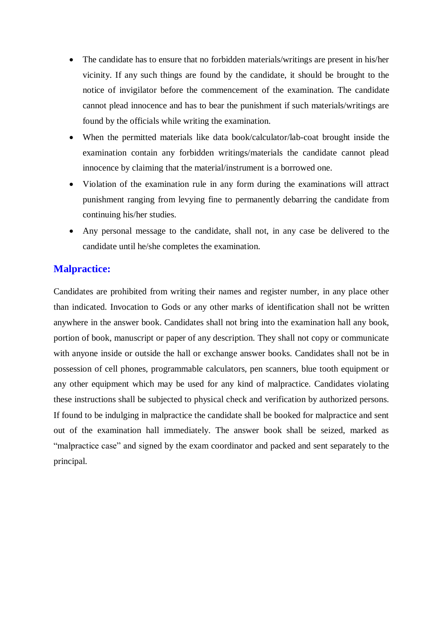- The candidate has to ensure that no forbidden materials/writings are present in his/her vicinity. If any such things are found by the candidate, it should be brought to the notice of invigilator before the commencement of the examination. The candidate cannot plead innocence and has to bear the punishment if such materials/writings are found by the officials while writing the examination.
- When the permitted materials like data book/calculator/lab-coat brought inside the examination contain any forbidden writings/materials the candidate cannot plead innocence by claiming that the material/instrument is a borrowed one.
- Violation of the examination rule in any form during the examinations will attract punishment ranging from levying fine to permanently debarring the candidate from continuing his/her studies.
- Any personal message to the candidate, shall not, in any case be delivered to the candidate until he/she completes the examination.

#### **Malpractice:**

Candidates are prohibited from writing their names and register number, in any place other than indicated. Invocation to Gods or any other marks of identification shall not be written anywhere in the answer book. Candidates shall not bring into the examination hall any book, portion of book, manuscript or paper of any description. They shall not copy or communicate with anyone inside or outside the hall or exchange answer books. Candidates shall not be in possession of cell phones, programmable calculators, pen scanners, blue tooth equipment or any other equipment which may be used for any kind of malpractice. Candidates violating these instructions shall be subjected to physical check and verification by authorized persons. If found to be indulging in malpractice the candidate shall be booked for malpractice and sent out of the examination hall immediately. The answer book shall be seized, marked as "malpractice case" and signed by the exam coordinator and packed and sent separately to the principal.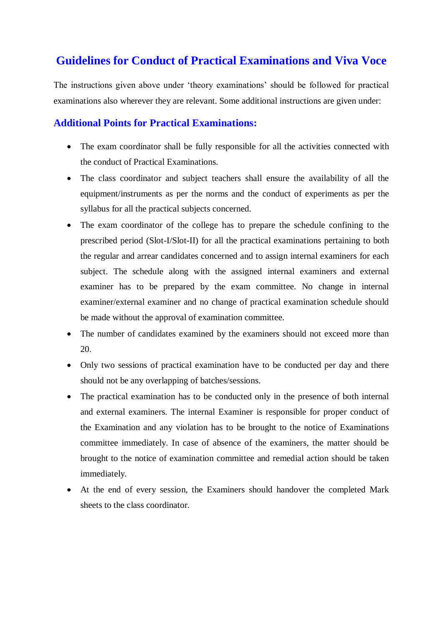## **Guidelines for Conduct of Practical Examinations and Viva Voce**

The instructions given above under 'theory examinations' should be followed for practical examinations also wherever they are relevant. Some additional instructions are given under:

#### **Additional Points for Practical Examinations:**

- The exam coordinator shall be fully responsible for all the activities connected with the conduct of Practical Examinations.
- The class coordinator and subject teachers shall ensure the availability of all the equipment/instruments as per the norms and the conduct of experiments as per the syllabus for all the practical subjects concerned.
- The exam coordinator of the college has to prepare the schedule confining to the prescribed period (Slot-I/Slot-II) for all the practical examinations pertaining to both the regular and arrear candidates concerned and to assign internal examiners for each subject. The schedule along with the assigned internal examiners and external examiner has to be prepared by the exam committee. No change in internal examiner/external examiner and no change of practical examination schedule should be made without the approval of examination committee.
- The number of candidates examined by the examiners should not exceed more than 20.
- Only two sessions of practical examination have to be conducted per day and there should not be any overlapping of batches/sessions.
- The practical examination has to be conducted only in the presence of both internal and external examiners. The internal Examiner is responsible for proper conduct of the Examination and any violation has to be brought to the notice of Examinations committee immediately. In case of absence of the examiners, the matter should be brought to the notice of examination committee and remedial action should be taken immediately.
- At the end of every session, the Examiners should handover the completed Mark sheets to the class coordinator.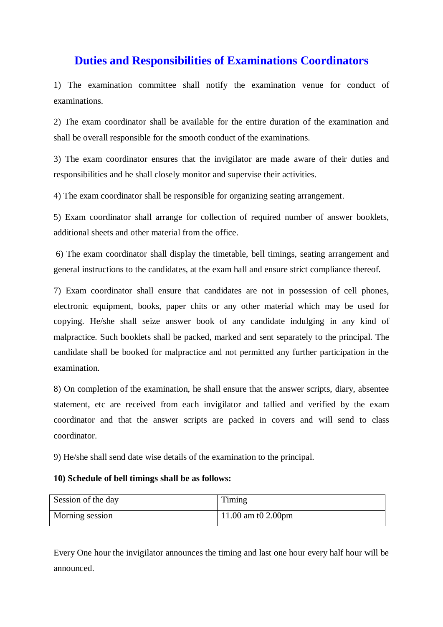### **Duties and Responsibilities of Examinations Coordinators**

1) The examination committee shall notify the examination venue for conduct of examinations.

2) The exam coordinator shall be available for the entire duration of the examination and shall be overall responsible for the smooth conduct of the examinations.

3) The exam coordinator ensures that the invigilator are made aware of their duties and responsibilities and he shall closely monitor and supervise their activities.

4) The exam coordinator shall be responsible for organizing seating arrangement.

5) Exam coordinator shall arrange for collection of required number of answer booklets, additional sheets and other material from the office.

6) The exam coordinator shall display the timetable, bell timings, seating arrangement and general instructions to the candidates, at the exam hall and ensure strict compliance thereof.

7) Exam coordinator shall ensure that candidates are not in possession of cell phones, electronic equipment, books, paper chits or any other material which may be used for copying. He/she shall seize answer book of any candidate indulging in any kind of malpractice. Such booklets shall be packed, marked and sent separately to the principal. The candidate shall be booked for malpractice and not permitted any further participation in the examination.

8) On completion of the examination, he shall ensure that the answer scripts, diary, absentee statement, etc are received from each invigilator and tallied and verified by the exam coordinator and that the answer scripts are packed in covers and will send to class coordinator.

9) He/she shall send date wise details of the examination to the principal.

#### **10) Schedule of bell timings shall be as follows:**

| Session of the day | Timing             |
|--------------------|--------------------|
| Morning session    | 11.00 am t0 2.00pm |

Every One hour the invigilator announces the timing and last one hour every half hour will be announced.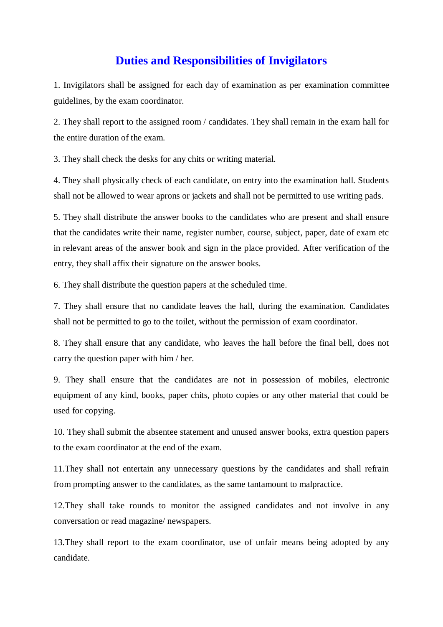#### **Duties and Responsibilities of Invigilators**

1. Invigilators shall be assigned for each day of examination as per examination committee guidelines, by the exam coordinator.

2. They shall report to the assigned room / candidates. They shall remain in the exam hall for the entire duration of the exam.

3. They shall check the desks for any chits or writing material.

4. They shall physically check of each candidate, on entry into the examination hall. Students shall not be allowed to wear aprons or jackets and shall not be permitted to use writing pads.

5. They shall distribute the answer books to the candidates who are present and shall ensure that the candidates write their name, register number, course, subject, paper, date of exam etc in relevant areas of the answer book and sign in the place provided. After verification of the entry, they shall affix their signature on the answer books.

6. They shall distribute the question papers at the scheduled time.

7. They shall ensure that no candidate leaves the hall, during the examination. Candidates shall not be permitted to go to the toilet, without the permission of exam coordinator.

8. They shall ensure that any candidate, who leaves the hall before the final bell, does not carry the question paper with him / her.

9. They shall ensure that the candidates are not in possession of mobiles, electronic equipment of any kind, books, paper chits, photo copies or any other material that could be used for copying.

10. They shall submit the absentee statement and unused answer books, extra question papers to the exam coordinator at the end of the exam.

11.They shall not entertain any unnecessary questions by the candidates and shall refrain from prompting answer to the candidates, as the same tantamount to malpractice.

12.They shall take rounds to monitor the assigned candidates and not involve in any conversation or read magazine/ newspapers.

13.They shall report to the exam coordinator, use of unfair means being adopted by any candidate.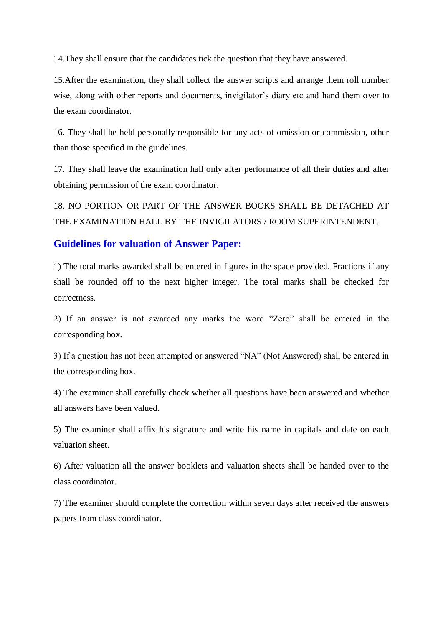14.They shall ensure that the candidates tick the question that they have answered.

15.After the examination, they shall collect the answer scripts and arrange them roll number wise, along with other reports and documents, invigilator's diary etc and hand them over to the exam coordinator.

16. They shall be held personally responsible for any acts of omission or commission, other than those specified in the guidelines.

17. They shall leave the examination hall only after performance of all their duties and after obtaining permission of the exam coordinator.

18. NO PORTION OR PART OF THE ANSWER BOOKS SHALL BE DETACHED AT THE EXAMINATION HALL BY THE INVIGILATORS / ROOM SUPERINTENDENT.

#### **Guidelines for valuation of Answer Paper:**

1) The total marks awarded shall be entered in figures in the space provided. Fractions if any shall be rounded off to the next higher integer. The total marks shall be checked for correctness.

2) If an answer is not awarded any marks the word "Zero" shall be entered in the corresponding box.

3) If a question has not been attempted or answered "NA" (Not Answered) shall be entered in the corresponding box.

4) The examiner shall carefully check whether all questions have been answered and whether all answers have been valued.

5) The examiner shall affix his signature and write his name in capitals and date on each valuation sheet.

6) After valuation all the answer booklets and valuation sheets shall be handed over to the class coordinator.

7) The examiner should complete the correction within seven days after received the answers papers from class coordinator.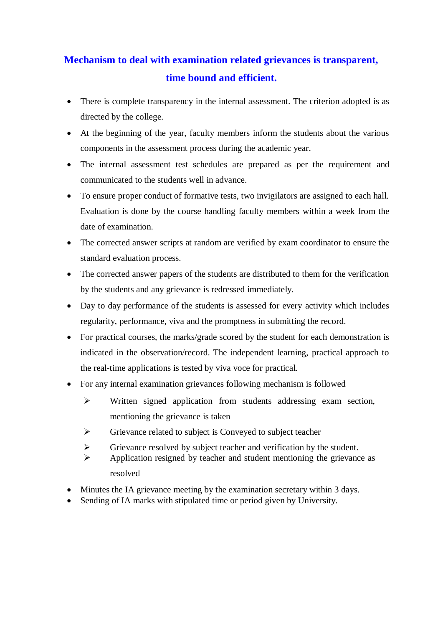# **Mechanism to deal with examination related grievances is transparent, time bound and efficient.**

- There is complete transparency in the internal assessment. The criterion adopted is as directed by the college.
- At the beginning of the year, faculty members inform the students about the various components in the assessment process during the academic year.
- The internal assessment test schedules are prepared as per the requirement and communicated to the students well in advance.
- To ensure proper conduct of formative tests, two invigilators are assigned to each hall. Evaluation is done by the course handling faculty members within a week from the date of examination.
- The corrected answer scripts at random are verified by exam coordinator to ensure the standard evaluation process.
- The corrected answer papers of the students are distributed to them for the verification by the students and any grievance is redressed immediately.
- Day to day performance of the students is assessed for every activity which includes regularity, performance, viva and the promptness in submitting the record.
- For practical courses, the marks/grade scored by the student for each demonstration is indicated in the observation/record. The independent learning, practical approach to the real-time applications is tested by viva voce for practical.
- For any internal examination grievances following mechanism is followed
	- Written signed application from students addressing exam section, mentioning the grievance is taken
	- $\triangleright$  Grievance related to subject is Conveyed to subject teacher
	- $\triangleright$  Grievance resolved by subject teacher and verification by the student.
	- $\triangleright$  Application resigned by teacher and student mentioning the grievance as resolved
- Minutes the IA grievance meeting by the examination secretary within 3 days.
- Sending of IA marks with stipulated time or period given by University.